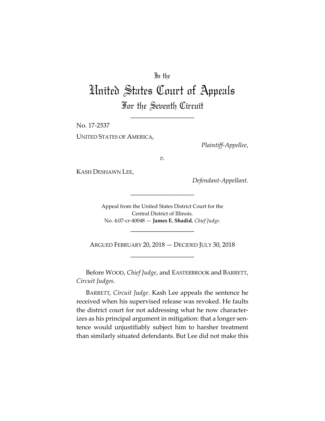## In the

## United States Court of Appeals For the Seventh Circuit

\_\_\_\_\_\_\_\_\_\_\_\_\_\_\_\_\_\_\_\_

No. 17‐2537 UNITED STATES OF AMERICA,

*Plaintiff‐Appellee*,

*v.*

KASH DESHAWN LEE,

*Defendant‐Appellant*.

Appeal from the United States District Court for the Central District of Illinois. No. 4:07‐cr‐40048 — **James E. Shadid**, *Chief Judge*.

\_\_\_\_\_\_\_\_\_\_\_\_\_\_\_\_\_\_\_\_

ARGUED FEBRUARY 20, 2018 — DECIDED JULY 30, 2018 \_\_\_\_\_\_\_\_\_\_\_\_\_\_\_\_\_\_\_\_

\_\_\_\_\_\_\_\_\_\_\_\_\_\_\_\_\_\_\_\_

Before WOOD, *Chief Judge*, and EASTERBROOK and BARRETT, *Circuit Judges*.

BARRETT, *Circuit Judge*. Kash Lee appeals the sentence he received when his supervised release was revoked. He faults the district court for not addressing what he now character‐ izes as his principal argument in mitigation: that a longer sentence would unjustifiably subject him to harsher treatment than similarly situated defendants. But Lee did not make this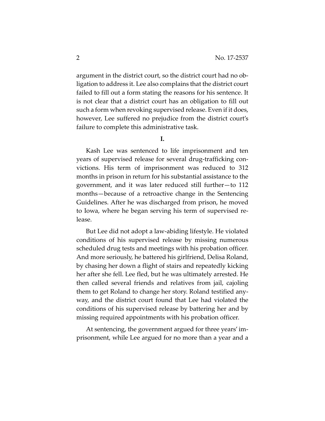argument in the district court, so the district court had no ob‐ ligation to address it. Lee also complains that the district court failed to fill out a form stating the reasons for his sentence. It is not clear that a district court has an obligation to fill out such a form when revoking supervised release. Even if it does, however, Lee suffered no prejudice from the district court's failure to complete this administrative task.

**I.**

Kash Lee was sentenced to life imprisonment and ten years of supervised release for several drug‐trafficking con‐ victions. His term of imprisonment was reduced to 312 months in prison in return for his substantial assistance to the government, and it was later reduced still further—to 112 months—because of a retroactive change in the Sentencing Guidelines. After he was discharged from prison, he moved to Iowa, where he began serving his term of supervised re‐ lease.

But Lee did not adopt a law‐abiding lifestyle. He violated conditions of his supervised release by missing numerous scheduled drug tests and meetings with his probation officer. And more seriously, he battered his girlfriend, Delisa Roland, by chasing her down a flight of stairs and repeatedly kicking her after she fell. Lee fled, but he was ultimately arrested. He then called several friends and relatives from jail, cajoling them to get Roland to change her story. Roland testified any‐ way, and the district court found that Lee had violated the conditions of his supervised release by battering her and by missing required appointments with his probation officer.

At sentencing, the government argued for three years' im‐ prisonment, while Lee argued for no more than a year and a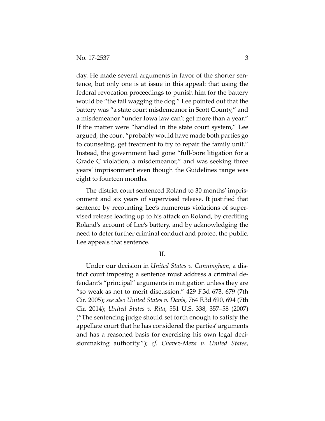day. He made several arguments in favor of the shorter sentence, but only one is at issue in this appeal: that using the federal revocation proceedings to punish him for the battery would be "the tail wagging the dog." Lee pointed out that the battery was "a state court misdemeanor in Scott County," and a misdemeanor "under Iowa law can't get more than a year." If the matter were "handled in the state court system," Lee argued, the court "probably would have made both parties go to counseling, get treatment to try to repair the family unit." Instead, the government had gone "full‐bore litigation for a Grade C violation, a misdemeanor," and was seeking three years' imprisonment even though the Guidelines range was eight to fourteen months.

The district court sentenced Roland to 30 months' impris‐ onment and six years of supervised release. It justified that sentence by recounting Lee's numerous violations of supervised release leading up to his attack on Roland, by crediting Roland's account of Lee's battery, and by acknowledging the need to deter further criminal conduct and protect the public. Lee appeals that sentence.

## **II.**

Under our decision in *United States v. Cunningham*, a dis‐ trict court imposing a sentence must address a criminal de‐ fendant's "principal" arguments in mitigation unless they are "so weak as not to merit discussion." 429 F.3d 673, 679 (7th Cir. 2005); *see also United States v. Davis*, 764 F.3d 690, 694 (7th Cir. 2014); *United States v. Rita*, 551 U.S. 338, 357–58 (2007) ("The sentencing judge should set forth enough to satisfy the appellate court that he has considered the parties' arguments and has a reasoned basis for exercising his own legal deci‐ sionmaking authority."); *cf. Chavez‐Meza v. United States*,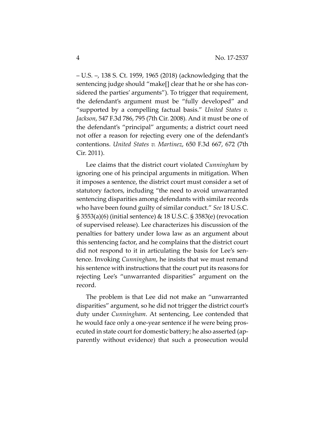– U.S. –, 138 S. Ct. 1959, 1965 (2018) (acknowledging that the sentencing judge should "make[] clear that he or she has considered the parties' arguments"). To trigger that requirement, the defendant's argument must be "fully developed" and "supported by a compelling factual basis." *United States v. Jackson*, 547 F.3d 786, 795 (7th Cir. 2008). And it must be one of the defendant's "principal" arguments; a district court need not offer a reason for rejecting every one of the defendant's contentions. *United States v. Martinez*, 650 F.3d 667, 672 (7th Cir. 2011).

Lee claims that the district court violated *Cunningham* by ignoring one of his principal arguments in mitigation. When it imposes a sentence, the district court must consider a set of statutory factors, including "the need to avoid unwarranted sentencing disparities among defendants with similar records who have been found guilty of similar conduct." *See* 18 U.S.C. § 3553(a)(6) (initial sentence) & 18 U.S.C. § 3583(e) (revocation of supervised release). Lee characterizes his discussion of the penalties for battery under Iowa law as an argument about this sentencing factor, and he complains that the district court did not respond to it in articulating the basis for Lee's sen‐ tence. Invoking *Cunningham*, he insists that we must remand his sentence with instructions that the court put its reasons for rejecting Lee's "unwarranted disparities" argument on the record.

The problem is that Lee did not make an "unwarranted disparities" argument, so he did not trigger the district court's duty under *Cunningham*. At sentencing, Lee contended that he would face only a one-year sentence if he were being prosecuted in state court for domestic battery; he also asserted (ap‐ parently without evidence) that such a prosecution would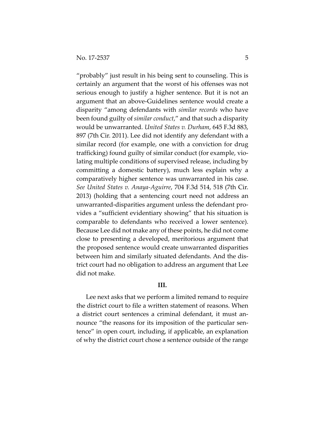"probably" just result in his being sent to counseling. This is certainly an argument that the worst of his offenses was not serious enough to justify a higher sentence. But it is not an argument that an above‐Guidelines sentence would create a disparity "among defendants with *similar records* who have been found guilty of *similar conduct*," and that such a disparity would be unwarranted. *United States v. Durham*, 645 F.3d 883, 897 (7th Cir. 2011). Lee did not identify any defendant with a similar record (for example, one with a conviction for drug trafficking) found guilty of similar conduct (for example, vio‐ lating multiple conditions of supervised release, including by committing a domestic battery), much less explain why a comparatively higher sentence was unwarranted in his case. *See United States v. Anaya‐Aguirre*, 704 F.3d 514, 518 (7th Cir. 2013) (holding that a sentencing court need not address an unwarranted‐disparities argument unless the defendant pro‐ vides a "sufficient evidentiary showing" that his situation is comparable to defendants who received a lower sentence). Because Lee did not make any of these points, he did not come close to presenting a developed, meritorious argument that the proposed sentence would create unwarranted disparities between him and similarly situated defendants. And the dis‐ trict court had no obligation to address an argument that Lee did not make.

## **III.**

Lee next asks that we perform a limited remand to require the district court to file a written statement of reasons. When a district court sentences a criminal defendant, it must an‐ nounce "the reasons for its imposition of the particular sentence" in open court, including, if applicable, an explanation of why the district court chose a sentence outside of the range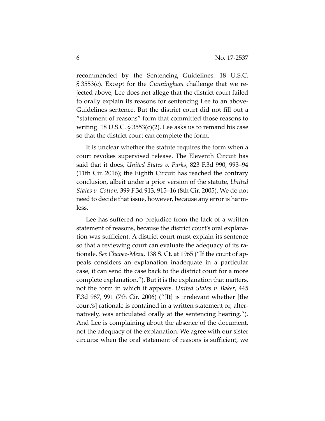recommended by the Sentencing Guidelines. 18 U.S.C. § 3553(c). Except for the *Cunningham* challenge that we re‐ jected above, Lee does not allege that the district court failed to orally explain its reasons for sentencing Lee to an above‐ Guidelines sentence. But the district court did not fill out a "statement of reasons" form that committed those reasons to writing. 18 U.S.C.  $\S 3553(c)(2)$ . Lee asks us to remand his case so that the district court can complete the form.

It is unclear whether the statute requires the form when a court revokes supervised release. The Eleventh Circuit has said that it does, *United States v. Parks*, 823 F.3d 990, 993–94 (11th Cir. 2016); the Eighth Circuit has reached the contrary conclusion, albeit under a prior version of the statute, *United States v. Cotton*, 399 F.3d 913, 915–16 (8th Cir. 2005). We do not need to decide that issue, however, because any error is harm‐ less.

Lee has suffered no prejudice from the lack of a written statement of reasons, because the district court's oral explana‐ tion was sufficient. A district court must explain its sentence so that a reviewing court can evaluate the adequacy of its ra‐ tionale. *See Chavez‐Meza*, 138 S. Ct. at 1965 ("If the court of ap‐ peals considers an explanation inadequate in a particular case, it can send the case back to the district court for a more complete explanation."). But it is the explanation that matters, not the form in which it appears. *United States v. Baker*, 445 F.3d 987, 991 (7th Cir. 2006) ("[It] is irrelevant whether [the court's] rationale is contained in a written statement or, alter‐ natively, was articulated orally at the sentencing hearing."). And Lee is complaining about the absence of the document, not the adequacy of the explanation. We agree with our sister circuits: when the oral statement of reasons is sufficient, we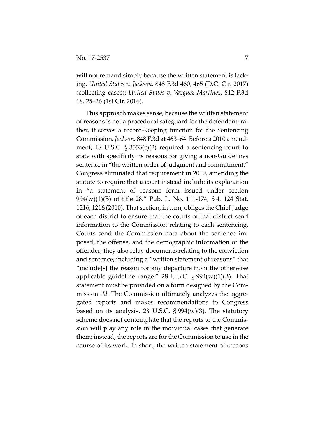will not remand simply because the written statement is lacking. *United States v. Jackson*, 848 F.3d 460, 465 (D.C. Cir. 2017) (collecting cases); *United States v. Vazquez‐Martinez*, 812 F.3d 18, 25–26 (1st Cir. 2016).

This approach makes sense, because the written statement of reasons is not a procedural safeguard for the defendant; ra‐ ther, it serves a record‐keeping function for the Sentencing Commission. *Jackson*, 848 F.3d at 463–64. Before a 2010 amend‐ ment, 18 U.S.C. § 3553(c)(2) required a sentencing court to state with specificity its reasons for giving a non‐Guidelines sentence in "the written order of judgment and commitment." Congress eliminated that requirement in 2010, amending the statute to require that a court instead include its explanation in "a statement of reasons form issued under section 994(w)(1)(B) of title 28." Pub. L. No. 111‐174, § 4, 124 Stat. 1216, 1216 (2010). That section, in turn, obliges the Chief Judge of each district to ensure that the courts of that district send information to the Commission relating to each sentencing. Courts send the Commission data about the sentence im‐ posed, the offense, and the demographic information of the offender; they also relay documents relating to the conviction and sentence, including a "written statement of reasons" that "include[s] the reason for any departure from the otherwise applicable guideline range." 28 U.S.C.  $\S 994(w)(1)(B)$ . That statement must be provided on a form designed by the Com‐ mission. *Id.* The Commission ultimately analyzes the aggregated reports and makes recommendations to Congress based on its analysis. 28 U.S.C.  $\S 994(w)(3)$ . The statutory scheme does not contemplate that the reports to the Commis‐ sion will play any role in the individual cases that generate them; instead, the reports are for the Commission to use in the course of its work. In short, the written statement of reasons